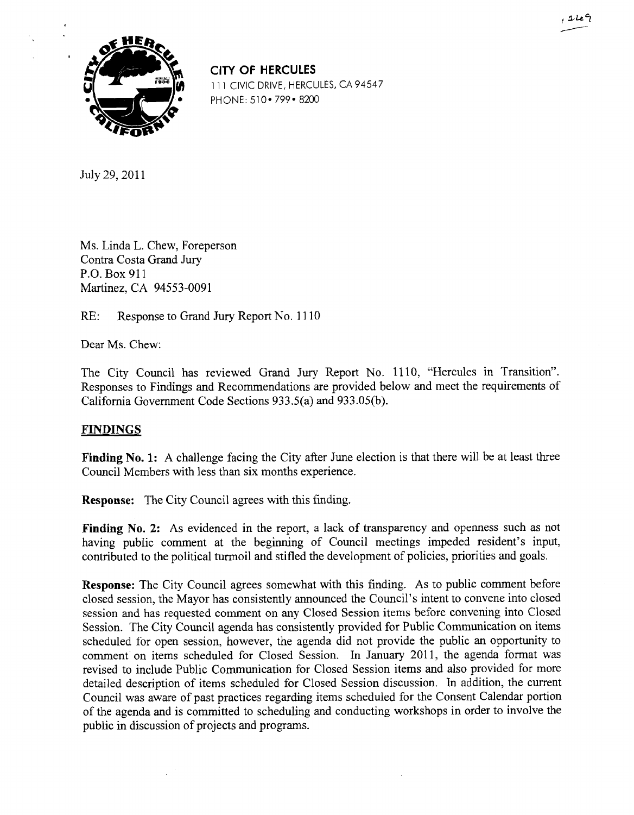

CITY **OF** HERCULES 111 CIVIC DRIVE, HERCULES, CA 94547 PHONE: 510 • 799 • 8200

July 29, 2011

Ms. Linda L. Chew, Foreperson Contra Costa Grand Jury P.O. Box 911 Martinez, CA 94553-0091

RE: Response to Grand Jury Report No. 1110

Dear Ms. Chew:

The City Council has reviewed Grand Jury Report No. 1110, "Hercules in Transition". Responses to Findings and Recommendations are provided below and meet the requirements of California Government Code Sections 933.5(a) and 933.05(b).

## **FINDINGS**

Finding No. 1: A challenge facing the City after June election is that there will be at least three Council Members with less than six months experience.

**Response:** The City Council agrees with this finding.

Finding No. 2: As evidenced in the report, a lack of transparency and openness such as not having public comment at the beginning of Council meetings impeded resident's input, contributed to the political turmoil and stifled the development of policies, priorities and goals.

**Response:** The City Council agrees somewhat with this finding. As to public comment before closed session, the Mayor has consistently announced the Council's intent to convene into closed session and has requested comment on any Closed Session items before convening into Closed Session. The City Council agenda has consistently provided for Public Communication on items scheduled for open session, however, the agenda did not provide the public an opportunity to comment on items scheduled for Closed Session. In January 2011, the agenda format was revised to include Public Communication for Closed Session items and also provided for more detailed description of items scheduled for Closed Session discussion. In addition, the current Council was aware of past practices regarding items scheduled for the Consent Calendar portion of the agenda and is committed to scheduling and conducting workshops in order to involve the public in discussion of projects and programs.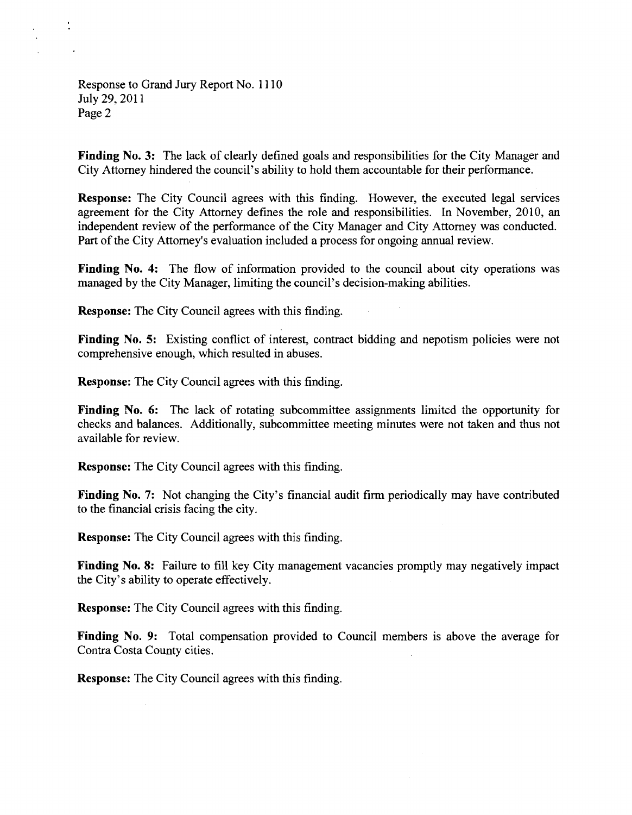Response to Grand Jury Report No. 1 1 10 July 29, 2011 Page 2

**Finding No. 3:** The lack of clearly defined goals and responsibilities for the City Manager and City Attorney hindered the council's ability to hold them accountable for their performance.

**Response:** The City Council agrees with this finding. However, the executed legal services agreement for the City Attorney defines the role and responsibilities. In November, 2010, an independent review of the performance of the City Manager and City Attorney was conducted. Part of the City Attorney's evaluation included a process for ongoing annual review.

**Finding No. 4:** The flow of information provided to the council about city operations was managed by the City Manager, limiting the council's decision-making abilities.

**Response:** The City Council agrees with this finding.

Finding No. 5: Existing conflict of interest, contract bidding and nepotism policies were not comprehensive enough, which resulted in abuses.

**Response:** The City Council agrees with this finding.

**Finding No. 6:** The lack of rotating subcommittee assignments limited the opportunity for checks and balances. Additionally, subcommittee meeting minutes were not taken and thus not available for review.

**Response:** The City Council agrees with this finding.

**Finding No. 7:** Not changing the City's financial audit firm periodically may have contributed to the financial crisis facing the city.

**Response:** The City Council agrees with this finding.

Finding No. 8: Failure to fill key City management vacancies promptly may negatively impact the City's ability to operate effectively.

**Response:** The City Council agrees with this finding.

**Finding No. 9:** Total compensation provided to Council members is above the average for Contra Costa County cities.

**Response:** The City Council agrees with this finding.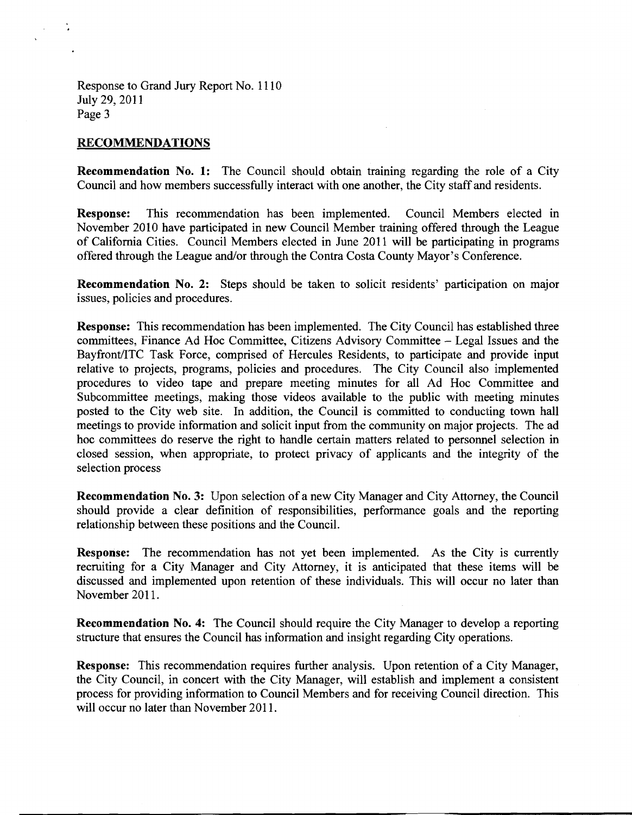Response to Grand Jury Report No. 1 1 10 July 29, 2011 Page 3

## **RECOMMENDATIONS**

**Recommendation No. 1:** The Council should obtain training regarding the role of a City Council and how members successfully interact with one another, the City staff and residents.

**Response:** This recommendation has been implemented. Council Members elected in November 2010 have participated in new Council Member training offered through the League of California Cities. Council Members elected in June 2011 will be participating in programs offered through the League and/or through the Contra Costa County Mayor's Conference.

**Recommendation No. 2:** Steps should be taken to solicit residents' participation on major issues, policies and procedures.

**Response:** This recommendation has been implemented. The City Council has established three committees, Finance Ad Hoc Committee, Citizens Advisory Committee - Legal Issues and the Bayfront/ITC Task Force, comprised of Hercules Residents, to participate and provide input relative to projects, programs, policies and procedures. The City Council also implemented procedures to video tape and prepare meeting minutes for all Ad Hoc Committee and Subcommittee meetings, making those videos available to the public with meeting minutes posted to the City web site. In addition, the Council is committed to conducting town hall meetings to provide information and solicit input from the community on major projects. The ad hoc committees do reserve the right to handle certain matters related to personnel selection in closed session, when appropriate, to protect privacy of applicants and the integrity of the selection process

**Recommendation No. 3:** Upon selection of a new City Manager and City Attorney, the Council should provide a clear definition of responsibilities, performance goals and the reporting relationship between these positions and the Council.

**Response:** The recommendation has not yet been implemented. As the City is currently recruiting for a City Manager and City Attorney, it is anticipated that these items will be discussed and implemented upon retention of these individuals. This will occur no later than November 2011.

**Recommendation No. 4:** The Council should require the City Manager to develop a reporting structure that ensures the Council has information and insight regarding City operations.

**Response:** This recommendation requires further analysis. Upon retention of a City Manager, the City Council, in concert with the City Manager, will establish and implement a consistent process for providing information to Council Members and for receiving Council direction. This will occur no later than November 2011.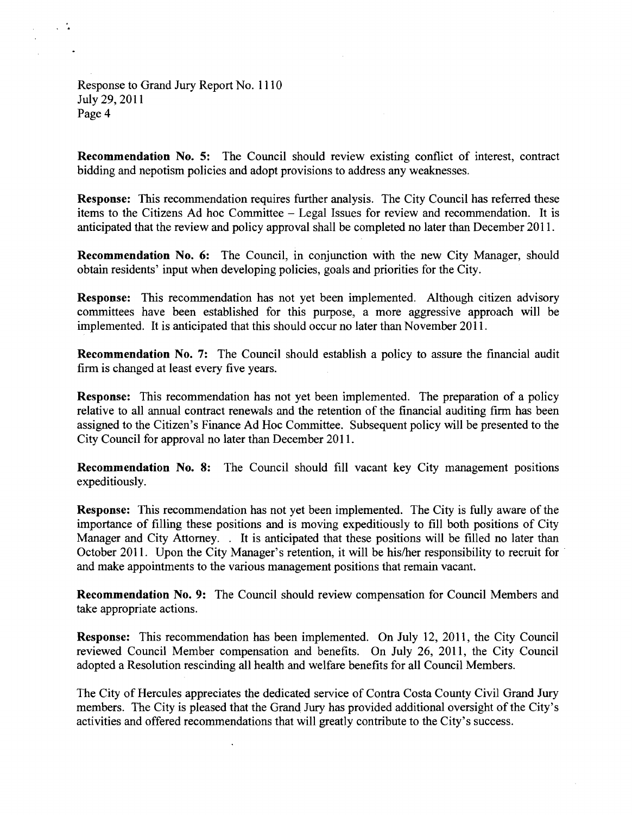Response to Grand Jury Report No. 1 1 10 July 29, 2011 Page 4

 $\sim 1$ 

**Recommendation No. 5:** The Council should review existing conflict of interest, contract bidding and nepotism policies and adopt provisions to address any weaknesses.

**Response:** This recommendation requires further analysis. The City Council has referred these items to the Citizens Ad hoc Committee - Legal Issues for review and recommendation. It is anticipated that the review and policy approval shall be completed no later than December 2011.

**Recommendation No. 6:** The Council, in conjunction with the new City Manager, should obtain residents' input when developing policies, goals and priorities for the City.

**Response:** This recommendation has not yet been implemented. Although citizen advisory committees have been established for this purpose, a more aggressive approach will be implemented. It is anticipated that this should occur no later than November 2011.

**Recommendation No. 7:** The Council should establish a policy to assure the financial audit firm is changed at least every five years.

**Response:** This recommendation has not yet been implemented. The preparation of a policy relative to all annual contract renewals and the retention of the financial auditing firm has been assigned to the Citizen's Finance Ad Hoc Committee. Subsequent policy will be presented to the City Council for approval no later than December 2011.

**Recommendation No. 8:** The Council should fill vacant key City management positions expeditiously.

**Response:** This recommendation has not yet been implemented. The City is fully aware of the importance of filling these positions and is moving expeditiously to fill both positions of City Manager and City Attorney. . It is anticipated that these positions will be filled no later than October 2011. Upon the City Manager's retention, it will be his/her responsibility to recruit for and make appointments to the various management positions that remain vacant.

**Recommendation No. 9:** The Council should review compensation for Council Members and take appropriate actions.

**Response:** This recommendation has been implemented. On July 12, 2011, the City Council reviewed Council Member compensation and benefits. On July 26, 2011, the City Council adopted a Resolution rescinding all health and welfare benefits for all Council Members.

The City of Hercules appreciates the dedicated service of Contra Costa County Civil Grand Jury members. The City is pleased that the Grand Jury has provided additional oversight of the City's activities and offered recommendations that will greatly contribute to the City's success.